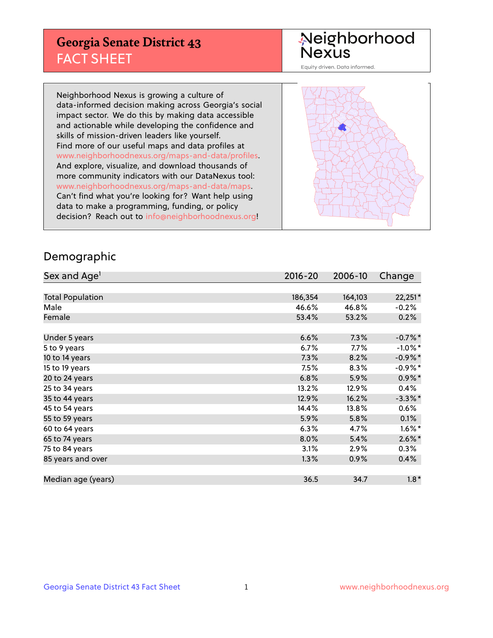## **Georgia Senate District 43** FACT SHEET

# Neighborhood<br>Nexus

Equity driven. Data informed.

Neighborhood Nexus is growing a culture of data-informed decision making across Georgia's social impact sector. We do this by making data accessible and actionable while developing the confidence and skills of mission-driven leaders like yourself. Find more of our useful maps and data profiles at www.neighborhoodnexus.org/maps-and-data/profiles. And explore, visualize, and download thousands of more community indicators with our DataNexus tool: www.neighborhoodnexus.org/maps-and-data/maps. Can't find what you're looking for? Want help using data to make a programming, funding, or policy decision? Reach out to [info@neighborhoodnexus.org!](mailto:info@neighborhoodnexus.org)



### Demographic

| Sex and Age <sup>1</sup> | $2016 - 20$ | 2006-10 | Change     |
|--------------------------|-------------|---------|------------|
|                          |             |         |            |
| <b>Total Population</b>  | 186,354     | 164,103 | 22,251*    |
| Male                     | 46.6%       | 46.8%   | $-0.2%$    |
| Female                   | 53.4%       | 53.2%   | 0.2%       |
|                          |             |         |            |
| Under 5 years            | 6.6%        | 7.3%    | $-0.7%$ *  |
| 5 to 9 years             | 6.7%        | $7.7\%$ | $-1.0\%$ * |
| 10 to 14 years           | 7.3%        | 8.2%    | $-0.9\%$ * |
| 15 to 19 years           | 7.5%        | 8.3%    | $-0.9%$ *  |
| 20 to 24 years           | 6.8%        | 5.9%    | $0.9\%$ *  |
| 25 to 34 years           | 13.2%       | 12.9%   | 0.4%       |
| 35 to 44 years           | 12.9%       | 16.2%   | $-3.3\%$ * |
| 45 to 54 years           | 14.4%       | 13.8%   | 0.6%       |
| 55 to 59 years           | 5.9%        | 5.8%    | 0.1%       |
| 60 to 64 years           | 6.3%        | 4.7%    | $1.6\%$ *  |
| 65 to 74 years           | 8.0%        | 5.4%    | $2.6\%$ *  |
| 75 to 84 years           | 3.1%        | 2.9%    | $0.3\%$    |
| 85 years and over        | 1.3%        | 0.9%    | 0.4%       |
|                          |             |         |            |
| Median age (years)       | 36.5        | 34.7    | $1.8*$     |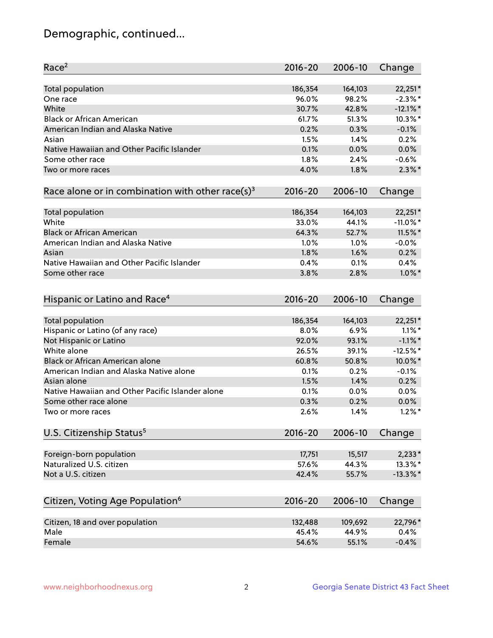## Demographic, continued...

| Race <sup>2</sup>                                            | $2016 - 20$ | 2006-10 | Change               |
|--------------------------------------------------------------|-------------|---------|----------------------|
| <b>Total population</b>                                      | 186,354     | 164,103 | 22,251*              |
| One race                                                     | 96.0%       | 98.2%   | $-2.3\%$ *           |
| White                                                        | 30.7%       | 42.8%   | $-12.1\%$ *          |
| <b>Black or African American</b>                             | 61.7%       | 51.3%   | 10.3%*               |
| American Indian and Alaska Native                            | 0.2%        | 0.3%    | $-0.1%$              |
| Asian                                                        | 1.5%        | 1.4%    | 0.2%                 |
| Native Hawaiian and Other Pacific Islander                   | 0.1%        | 0.0%    | 0.0%                 |
| Some other race                                              | 1.8%        | 2.4%    | $-0.6%$              |
| Two or more races                                            | 4.0%        | 1.8%    | $2.3\%$ *            |
| Race alone or in combination with other race(s) <sup>3</sup> | $2016 - 20$ | 2006-10 | Change               |
| Total population                                             | 186,354     | 164,103 | 22,251*              |
| White                                                        | 33.0%       | 44.1%   | $-11.0\%$ *          |
| <b>Black or African American</b>                             | 64.3%       | 52.7%   | $11.5\%$ *           |
| American Indian and Alaska Native                            | 1.0%        | 1.0%    | $-0.0%$              |
| Asian                                                        | 1.8%        | 1.6%    | 0.2%                 |
| Native Hawaiian and Other Pacific Islander                   | 0.4%        | 0.1%    | 0.4%                 |
| Some other race                                              | 3.8%        | 2.8%    | $1.0\%$ *            |
| Hispanic or Latino and Race <sup>4</sup>                     | $2016 - 20$ | 2006-10 | Change               |
| Total population                                             | 186,354     | 164,103 | 22,251*              |
| Hispanic or Latino (of any race)                             | 8.0%        | 6.9%    | $1.1\%$ *            |
| Not Hispanic or Latino                                       | 92.0%       | 93.1%   | $-1.1\%$ *           |
| White alone                                                  | 26.5%       | 39.1%   | $-12.5%$ *           |
| Black or African American alone                              | 60.8%       | 50.8%   | 10.0%*               |
| American Indian and Alaska Native alone                      | 0.1%        | 0.2%    | $-0.1%$              |
| Asian alone                                                  | 1.5%        | 1.4%    | 0.2%                 |
| Native Hawaiian and Other Pacific Islander alone             | 0.1%        | 0.0%    | 0.0%                 |
| Some other race alone                                        | 0.3%        | 0.2%    | 0.0%                 |
| Two or more races                                            | 2.6%        | 1.4%    | $1.2\%$ <sup>*</sup> |
| U.S. Citizenship Status <sup>5</sup>                         | $2016 - 20$ | 2006-10 | Change               |
| Foreign-born population                                      | 17,751      | 15,517  | $2,233*$             |
| Naturalized U.S. citizen                                     | 57.6%       | 44.3%   | 13.3%*               |
| Not a U.S. citizen                                           | 42.4%       | 55.7%   | $-13.3\%$ *          |
|                                                              |             |         |                      |
| Citizen, Voting Age Population <sup>6</sup>                  | 2016-20     | 2006-10 | Change               |
| Citizen, 18 and over population                              | 132,488     | 109,692 | 22,796*              |
| Male                                                         | 45.4%       | 44.9%   | 0.4%                 |
| Female                                                       | 54.6%       | 55.1%   | $-0.4%$              |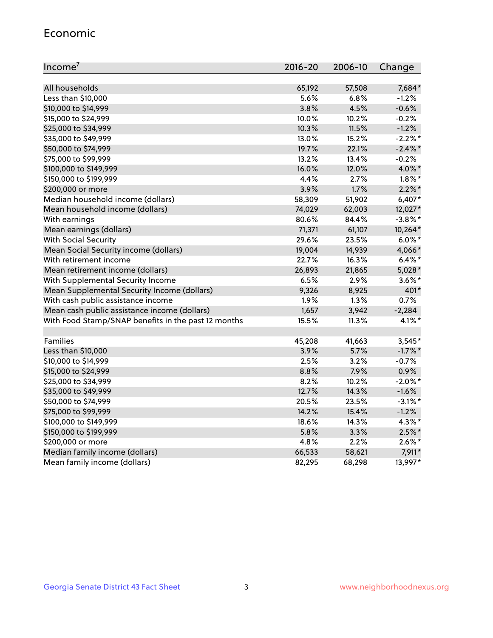#### Economic

| Income <sup>7</sup>                                 | 2016-20 | 2006-10 | Change     |
|-----------------------------------------------------|---------|---------|------------|
|                                                     |         |         |            |
| All households                                      | 65,192  | 57,508  | 7,684*     |
| Less than \$10,000                                  | 5.6%    | 6.8%    | $-1.2%$    |
| \$10,000 to \$14,999                                | 3.8%    | 4.5%    | $-0.6%$    |
| \$15,000 to \$24,999                                | 10.0%   | 10.2%   | $-0.2%$    |
| \$25,000 to \$34,999                                | 10.3%   | 11.5%   | $-1.2%$    |
| \$35,000 to \$49,999                                | 13.0%   | 15.2%   | $-2.2%$ *  |
| \$50,000 to \$74,999                                | 19.7%   | 22.1%   | $-2.4\%$ * |
| \$75,000 to \$99,999                                | 13.2%   | 13.4%   | $-0.2%$    |
| \$100,000 to \$149,999                              | 16.0%   | 12.0%   | 4.0%*      |
| \$150,000 to \$199,999                              | 4.4%    | 2.7%    | $1.8\%$ *  |
| \$200,000 or more                                   | 3.9%    | 1.7%    | $2.2\%$ *  |
| Median household income (dollars)                   | 58,309  | 51,902  | $6,407*$   |
| Mean household income (dollars)                     | 74,029  | 62,003  | 12,027*    |
| With earnings                                       | 80.6%   | 84.4%   | $-3.8\%$ * |
| Mean earnings (dollars)                             | 71,371  | 61,107  | 10,264*    |
| <b>With Social Security</b>                         | 29.6%   | 23.5%   | $6.0\%$ *  |
| Mean Social Security income (dollars)               | 19,004  | 14,939  | 4,066*     |
| With retirement income                              | 22.7%   | 16.3%   | $6.4\%$ *  |
| Mean retirement income (dollars)                    | 26,893  | 21,865  | $5,028*$   |
| With Supplemental Security Income                   | 6.5%    | 2.9%    | $3.6\%$ *  |
| Mean Supplemental Security Income (dollars)         | 9,326   | 8,925   | 401*       |
| With cash public assistance income                  | 1.9%    | 1.3%    | 0.7%       |
| Mean cash public assistance income (dollars)        | 1,657   | 3,942   | $-2,284$   |
| With Food Stamp/SNAP benefits in the past 12 months | 15.5%   | 11.3%   | $4.1\%$ *  |
|                                                     |         |         |            |
| Families                                            | 45,208  | 41,663  | 3,545*     |
| Less than \$10,000                                  | 3.9%    | 5.7%    | $-1.7\%$ * |
| \$10,000 to \$14,999                                | 2.5%    | 3.2%    | $-0.7%$    |
| \$15,000 to \$24,999                                | 8.8%    | 7.9%    | 0.9%       |
| \$25,000 to \$34,999                                | 8.2%    | 10.2%   | $-2.0\%$ * |
| \$35,000 to \$49,999                                | 12.7%   | 14.3%   | $-1.6%$    |
| \$50,000 to \$74,999                                | 20.5%   | 23.5%   | $-3.1\%$ * |
| \$75,000 to \$99,999                                | 14.2%   | 15.4%   | $-1.2%$    |
| \$100,000 to \$149,999                              | 18.6%   | 14.3%   | $4.3\%$ *  |
| \$150,000 to \$199,999                              | 5.8%    | 3.3%    | $2.5\%$ *  |
| \$200,000 or more                                   | 4.8%    | 2.2%    | $2.6\%$ *  |
| Median family income (dollars)                      | 66,533  | 58,621  | 7,911*     |
| Mean family income (dollars)                        | 82,295  | 68,298  | 13,997*    |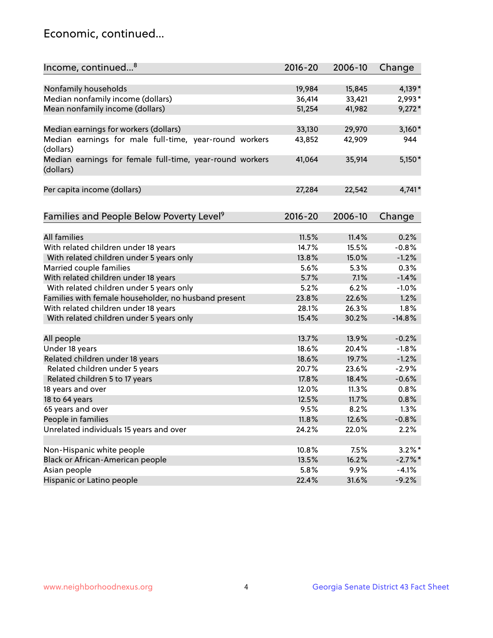## Economic, continued...

| Income, continued <sup>8</sup>                                        | $2016 - 20$ | 2006-10 | Change    |
|-----------------------------------------------------------------------|-------------|---------|-----------|
|                                                                       |             |         |           |
| Nonfamily households                                                  | 19,984      | 15,845  | 4,139*    |
| Median nonfamily income (dollars)                                     | 36,414      | 33,421  | 2,993*    |
| Mean nonfamily income (dollars)                                       | 51,254      | 41,982  | $9,272*$  |
| Median earnings for workers (dollars)                                 | 33,130      | 29,970  | $3,160*$  |
| Median earnings for male full-time, year-round workers                | 43,852      | 42,909  | 944       |
| (dollars)                                                             |             |         |           |
| Median earnings for female full-time, year-round workers<br>(dollars) | 41,064      | 35,914  | $5,150*$  |
| Per capita income (dollars)                                           | 27,284      | 22,542  | $4,741*$  |
|                                                                       |             |         |           |
| Families and People Below Poverty Level <sup>9</sup>                  | $2016 - 20$ | 2006-10 | Change    |
|                                                                       |             |         |           |
| <b>All families</b>                                                   | 11.5%       | 11.4%   | 0.2%      |
| With related children under 18 years                                  | 14.7%       | 15.5%   | $-0.8%$   |
| With related children under 5 years only                              | 13.8%       | 15.0%   | $-1.2%$   |
| Married couple families                                               | 5.6%        | 5.3%    | 0.3%      |
| With related children under 18 years                                  | 5.7%        | 7.1%    | $-1.4%$   |
| With related children under 5 years only                              | 5.2%        | 6.2%    | $-1.0%$   |
| Families with female householder, no husband present                  | 23.8%       | 22.6%   | 1.2%      |
| With related children under 18 years                                  | 28.1%       | 26.3%   | 1.8%      |
| With related children under 5 years only                              | 15.4%       | 30.2%   | $-14.8%$  |
| All people                                                            | 13.7%       | 13.9%   | $-0.2%$   |
| Under 18 years                                                        | 18.6%       | 20.4%   | $-1.8%$   |
| Related children under 18 years                                       | 18.6%       | 19.7%   | $-1.2%$   |
| Related children under 5 years                                        | 20.7%       | 23.6%   | $-2.9%$   |
| Related children 5 to 17 years                                        | 17.8%       | 18.4%   | $-0.6%$   |
| 18 years and over                                                     | 12.0%       | 11.3%   | 0.8%      |
| 18 to 64 years                                                        | 12.5%       | 11.7%   | 0.8%      |
| 65 years and over                                                     | 9.5%        | 8.2%    | 1.3%      |
| People in families                                                    | 11.8%       | 12.6%   | $-0.8%$   |
| Unrelated individuals 15 years and over                               | 24.2%       | 22.0%   | 2.2%      |
|                                                                       |             |         |           |
| Non-Hispanic white people                                             | 10.8%       | 7.5%    | $3.2\%$ * |
| Black or African-American people                                      | 13.5%       | 16.2%   | $-2.7%$ * |
| Asian people                                                          | 5.8%        | 9.9%    | $-4.1%$   |
| Hispanic or Latino people                                             | 22.4%       | 31.6%   | $-9.2%$   |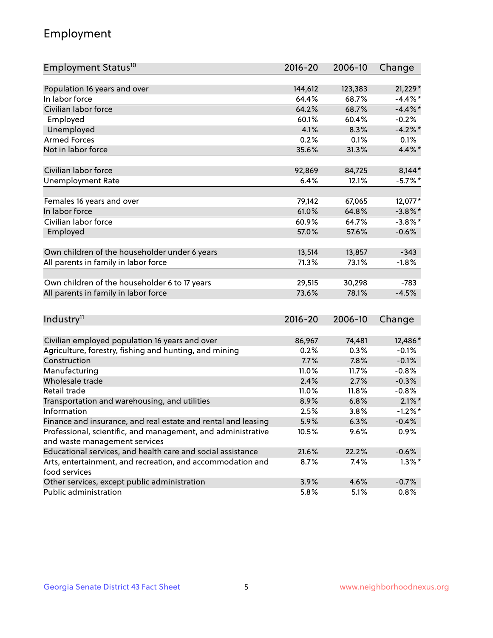## Employment

| Employment Status <sup>10</sup>                                             | $2016 - 20$ | 2006-10 | Change     |
|-----------------------------------------------------------------------------|-------------|---------|------------|
|                                                                             |             |         |            |
| Population 16 years and over                                                | 144,612     | 123,383 | 21,229*    |
| In labor force                                                              | 64.4%       | 68.7%   | $-4.4\%$ * |
| Civilian labor force                                                        | 64.2%       | 68.7%   | $-4.4\%$ * |
| Employed                                                                    | 60.1%       | 60.4%   | $-0.2%$    |
| Unemployed                                                                  | 4.1%        | 8.3%    | $-4.2\%$ * |
| <b>Armed Forces</b>                                                         | 0.2%        | 0.1%    | 0.1%       |
| Not in labor force                                                          | 35.6%       | 31.3%   | $4.4\%$ *  |
| Civilian labor force                                                        | 92,869      | 84,725  | $8,144*$   |
|                                                                             | 6.4%        | 12.1%   | $-5.7\%$ * |
| <b>Unemployment Rate</b>                                                    |             |         |            |
| Females 16 years and over                                                   | 79,142      | 67,065  | 12,077*    |
| In labor force                                                              | 61.0%       | 64.8%   | $-3.8\%$ * |
| Civilian labor force                                                        | 60.9%       | 64.7%   | $-3.8\%$ * |
| Employed                                                                    | 57.0%       | 57.6%   | $-0.6%$    |
|                                                                             |             |         |            |
| Own children of the householder under 6 years                               | 13,514      | 13,857  | $-343$     |
| All parents in family in labor force                                        | 71.3%       | 73.1%   | $-1.8%$    |
|                                                                             |             |         |            |
| Own children of the householder 6 to 17 years                               | 29,515      | 30,298  | $-783$     |
| All parents in family in labor force                                        | 73.6%       | 78.1%   | $-4.5%$    |
|                                                                             |             |         |            |
| Industry <sup>11</sup>                                                      | $2016 - 20$ | 2006-10 | Change     |
|                                                                             |             |         |            |
| Civilian employed population 16 years and over                              | 86,967      | 74,481  | 12,486*    |
| Agriculture, forestry, fishing and hunting, and mining                      | 0.2%        | 0.3%    | $-0.1%$    |
| Construction                                                                | 7.7%        | 7.8%    | $-0.1%$    |
| Manufacturing                                                               | 11.0%       | 11.7%   | $-0.8%$    |
| Wholesale trade                                                             | 2.4%        | 2.7%    | $-0.3%$    |
| Retail trade                                                                | 11.0%       | 11.8%   | $-0.8%$    |
| Transportation and warehousing, and utilities                               | 8.9%        | 6.8%    | $2.1\%$ *  |
| Information                                                                 | 2.5%        | 3.8%    | $-1.2%$ *  |
| Finance and insurance, and real estate and rental and leasing               | 5.9%        | 6.3%    | $-0.4%$    |
| Professional, scientific, and management, and administrative                | 10.5%       | $9.6\%$ | 0.9%       |
| and waste management services                                               |             |         |            |
| Educational services, and health care and social assistance                 | 21.6%       | 22.2%   | $-0.6%$    |
| Arts, entertainment, and recreation, and accommodation and<br>food services | 8.7%        | 7.4%    | $1.3\%$ *  |
| Other services, except public administration                                | 3.9%        | 4.6%    | $-0.7%$    |
| Public administration                                                       | 5.8%        | 5.1%    | 0.8%       |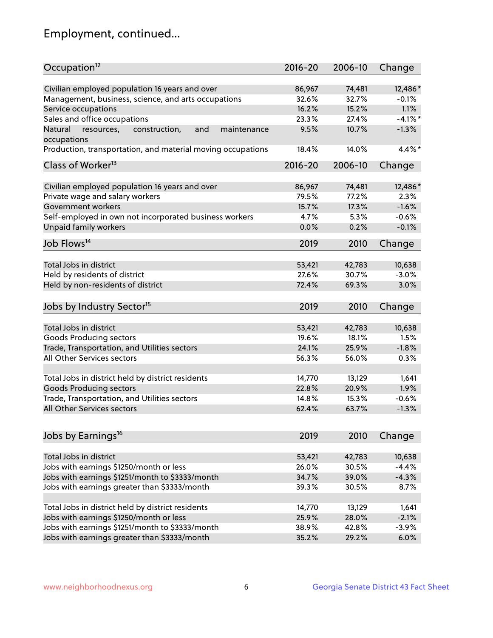## Employment, continued...

| Occupation <sup>12</sup>                                    | $2016 - 20$ | 2006-10 | Change    |
|-------------------------------------------------------------|-------------|---------|-----------|
| Civilian employed population 16 years and over              | 86,967      | 74,481  | 12,486*   |
| Management, business, science, and arts occupations         | 32.6%       | 32.7%   | $-0.1%$   |
| Service occupations                                         | 16.2%       | 15.2%   | 1.1%      |
| Sales and office occupations                                | 23.3%       | 27.4%   | $-4.1%$ * |
| Natural<br>and<br>maintenance                               | 9.5%        | 10.7%   | $-1.3%$   |
| resources,<br>construction,<br>occupations                  |             |         |           |
| Production, transportation, and material moving occupations | 18.4%       | 14.0%   | 4.4%*     |
| Class of Worker <sup>13</sup>                               | $2016 - 20$ | 2006-10 | Change    |
|                                                             |             |         |           |
| Civilian employed population 16 years and over              | 86,967      | 74,481  | 12,486*   |
| Private wage and salary workers                             | 79.5%       | 77.2%   | 2.3%      |
| Government workers                                          | 15.7%       | 17.3%   | $-1.6%$   |
| Self-employed in own not incorporated business workers      | 4.7%        | 5.3%    | $-0.6%$   |
| Unpaid family workers                                       | 0.0%        | 0.2%    | $-0.1%$   |
| Job Flows <sup>14</sup>                                     | 2019        | 2010    | Change    |
|                                                             |             |         |           |
| Total Jobs in district                                      | 53,421      | 42,783  | 10,638    |
| Held by residents of district                               | 27.6%       | 30.7%   | $-3.0%$   |
| Held by non-residents of district                           | 72.4%       | 69.3%   | 3.0%      |
| Jobs by Industry Sector <sup>15</sup>                       | 2019        | 2010    | Change    |
|                                                             |             |         |           |
| Total Jobs in district                                      | 53,421      | 42,783  | 10,638    |
| <b>Goods Producing sectors</b>                              | 19.6%       | 18.1%   | 1.5%      |
| Trade, Transportation, and Utilities sectors                | 24.1%       | 25.9%   | $-1.8%$   |
| All Other Services sectors                                  | 56.3%       | 56.0%   | 0.3%      |
| Total Jobs in district held by district residents           | 14,770      | 13,129  | 1,641     |
| <b>Goods Producing sectors</b>                              | 22.8%       | 20.9%   | 1.9%      |
| Trade, Transportation, and Utilities sectors                | 14.8%       | 15.3%   | $-0.6%$   |
| All Other Services sectors                                  | 62.4%       | 63.7%   | $-1.3%$   |
|                                                             |             |         |           |
| Jobs by Earnings <sup>16</sup>                              | 2019        | 2010    | Change    |
|                                                             |             |         |           |
| Total Jobs in district                                      | 53,421      | 42,783  | 10,638    |
| Jobs with earnings \$1250/month or less                     | 26.0%       | 30.5%   | $-4.4%$   |
| Jobs with earnings \$1251/month to \$3333/month             | 34.7%       | 39.0%   | $-4.3%$   |
| Jobs with earnings greater than \$3333/month                | 39.3%       | 30.5%   | 8.7%      |
| Total Jobs in district held by district residents           | 14,770      | 13,129  | 1,641     |
| Jobs with earnings \$1250/month or less                     | 25.9%       | 28.0%   | $-2.1%$   |
| Jobs with earnings \$1251/month to \$3333/month             | 38.9%       | 42.8%   | $-3.9%$   |
| Jobs with earnings greater than \$3333/month                | 35.2%       | 29.2%   | 6.0%      |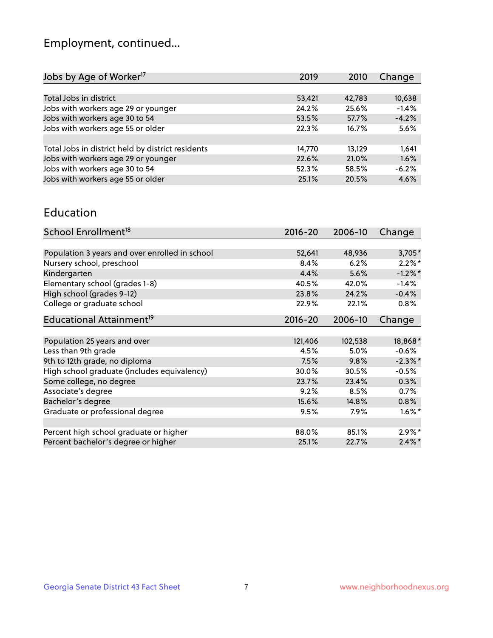## Employment, continued...

| Jobs by Age of Worker <sup>17</sup>               | 2019   | 2010   | Change  |
|---------------------------------------------------|--------|--------|---------|
|                                                   |        |        |         |
| Total Jobs in district                            | 53,421 | 42,783 | 10,638  |
| Jobs with workers age 29 or younger               | 24.2%  | 25.6%  | $-1.4%$ |
| Jobs with workers age 30 to 54                    | 53.5%  | 57.7%  | $-4.2%$ |
| Jobs with workers age 55 or older                 | 22.3%  | 16.7%  | 5.6%    |
|                                                   |        |        |         |
| Total Jobs in district held by district residents | 14,770 | 13,129 | 1,641   |
| Jobs with workers age 29 or younger               | 22.6%  | 21.0%  | 1.6%    |
| Jobs with workers age 30 to 54                    | 52.3%  | 58.5%  | $-6.2%$ |
| Jobs with workers age 55 or older                 | 25.1%  | 20.5%  | 4.6%    |
|                                                   |        |        |         |

#### Education

| School Enrollment <sup>18</sup>                | $2016 - 20$ | 2006-10 | Change               |
|------------------------------------------------|-------------|---------|----------------------|
|                                                |             |         |                      |
| Population 3 years and over enrolled in school | 52,641      | 48,936  | $3,705*$             |
| Nursery school, preschool                      | 8.4%        | 6.2%    | $2.2\%$ *            |
| Kindergarten                                   | 4.4%        | 5.6%    | $-1.2\%$ *           |
| Elementary school (grades 1-8)                 | 40.5%       | 42.0%   | $-1.4%$              |
| High school (grades 9-12)                      | 23.8%       | 24.2%   | $-0.4%$              |
| College or graduate school                     | 22.9%       | 22.1%   | $0.8\%$              |
| Educational Attainment <sup>19</sup>           | $2016 - 20$ | 2006-10 | Change               |
|                                                |             |         |                      |
| Population 25 years and over                   | 121,406     | 102,538 | 18,868*              |
| Less than 9th grade                            | 4.5%        | 5.0%    | $-0.6%$              |
| 9th to 12th grade, no diploma                  | 7.5%        | 9.8%    | $-2.3\%$ *           |
| High school graduate (includes equivalency)    | 30.0%       | 30.5%   | $-0.5%$              |
| Some college, no degree                        | 23.7%       | 23.4%   | 0.3%                 |
| Associate's degree                             | 9.2%        | 8.5%    | 0.7%                 |
| Bachelor's degree                              | 15.6%       | 14.8%   | 0.8%                 |
| Graduate or professional degree                | 9.5%        | 7.9%    | $1.6\%$ <sup>*</sup> |
|                                                |             |         |                      |
| Percent high school graduate or higher         | 88.0%       | 85.1%   | $2.9\%*$             |
| Percent bachelor's degree or higher            | 25.1%       | 22.7%   | $2.4\%$ *            |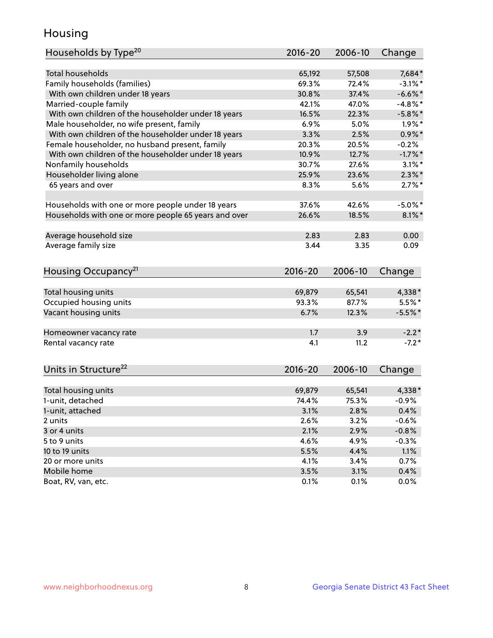## Housing

| Households by Type <sup>20</sup>                                                                 | 2016-20 | 2006-10 | Change     |
|--------------------------------------------------------------------------------------------------|---------|---------|------------|
| <b>Total households</b>                                                                          | 65,192  | 57,508  | 7,684*     |
| Family households (families)                                                                     | 69.3%   | 72.4%   | $-3.1\%$ * |
| With own children under 18 years                                                                 | 30.8%   | 37.4%   | $-6.6\%$ * |
| Married-couple family                                                                            | 42.1%   | 47.0%   | $-4.8\%$ * |
| With own children of the householder under 18 years                                              | 16.5%   | 22.3%   | $-5.8\%$ * |
|                                                                                                  | 6.9%    | 5.0%    | $1.9\%$ *  |
| Male householder, no wife present, family<br>With own children of the householder under 18 years | 3.3%    | 2.5%    | $0.9\%$ *  |
|                                                                                                  | 20.3%   | 20.5%   | $-0.2%$    |
| Female householder, no husband present, family                                                   |         |         | $-1.7%$ *  |
| With own children of the householder under 18 years                                              | 10.9%   | 12.7%   |            |
| Nonfamily households                                                                             | 30.7%   | 27.6%   | $3.1\%$ *  |
| Householder living alone                                                                         | 25.9%   | 23.6%   | $2.3\%$ *  |
| 65 years and over                                                                                | 8.3%    | 5.6%    | $2.7\%$ *  |
| Households with one or more people under 18 years                                                | 37.6%   | 42.6%   | $-5.0\%$ * |
| Households with one or more people 65 years and over                                             | 26.6%   | 18.5%   | $8.1\%$ *  |
| Average household size                                                                           | 2.83    | 2.83    | 0.00       |
| Average family size                                                                              | 3.44    | 3.35    | 0.09       |
|                                                                                                  |         |         |            |
| Housing Occupancy <sup>21</sup>                                                                  | 2016-20 | 2006-10 | Change     |
| Total housing units                                                                              | 69,879  | 65,541  | 4,338*     |
| Occupied housing units                                                                           | 93.3%   | 87.7%   | $5.5%$ *   |
| Vacant housing units                                                                             | 6.7%    | 12.3%   | $-5.5%$ *  |
| Homeowner vacancy rate                                                                           | 1.7     | 3.9     | $-2.2*$    |
| Rental vacancy rate                                                                              | 4.1     | 11.2    | $-7.2*$    |
|                                                                                                  |         |         |            |
| Units in Structure <sup>22</sup>                                                                 | 2016-20 | 2006-10 | Change     |
| Total housing units                                                                              | 69,879  | 65,541  | 4,338*     |
| 1-unit, detached                                                                                 | 74.4%   | 75.3%   | $-0.9%$    |
| 1-unit, attached                                                                                 | 3.1%    | 2.8%    | 0.4%       |
| 2 units                                                                                          | 2.6%    | 3.2%    | $-0.6%$    |
| 3 or 4 units                                                                                     | 2.1%    | 2.9%    | $-0.8%$    |
| 5 to 9 units                                                                                     | 4.6%    | 4.9%    | $-0.3%$    |
| 10 to 19 units                                                                                   | 5.5%    | 4.4%    | 1.1%       |
| 20 or more units                                                                                 | 4.1%    | 3.4%    | 0.7%       |
| Mobile home                                                                                      | 3.5%    | 3.1%    | 0.4%       |
| Boat, RV, van, etc.                                                                              | 0.1%    | 0.1%    | 0.0%       |
|                                                                                                  |         |         |            |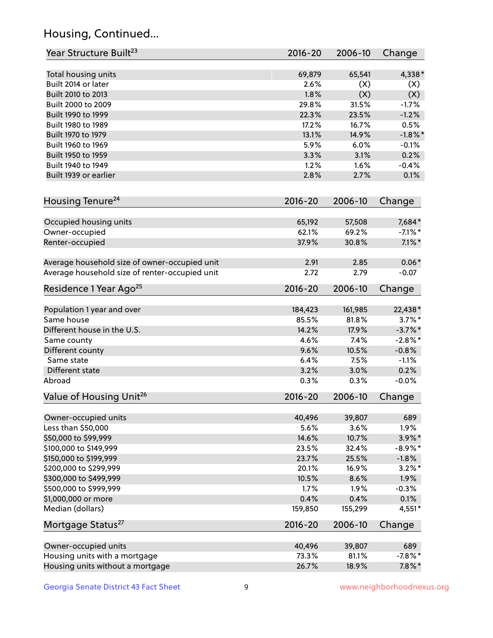## Housing, Continued...

| Year Structure Built <sup>23</sup>             | 2016-20     | 2006-10 | Change     |
|------------------------------------------------|-------------|---------|------------|
| Total housing units                            | 69,879      | 65,541  | 4,338*     |
| Built 2014 or later                            | 2.6%        | (X)     | (X)        |
| Built 2010 to 2013                             | 1.8%        | (X)     | (X)        |
| Built 2000 to 2009                             | 29.8%       | 31.5%   | $-1.7%$    |
| Built 1990 to 1999                             | 22.3%       | 23.5%   | $-1.2%$    |
| Built 1980 to 1989                             | 17.2%       | 16.7%   | 0.5%       |
| Built 1970 to 1979                             | 13.1%       | 14.9%   | $-1.8\%$ * |
| Built 1960 to 1969                             | 5.9%        | 6.0%    | $-0.1%$    |
| Built 1950 to 1959                             | 3.3%        | 3.1%    | 0.2%       |
| Built 1940 to 1949                             | 1.2%        | 1.6%    | $-0.4%$    |
| Built 1939 or earlier                          | 2.8%        | 2.7%    | 0.1%       |
| Housing Tenure <sup>24</sup>                   | $2016 - 20$ | 2006-10 | Change     |
|                                                |             |         |            |
| Occupied housing units                         | 65,192      | 57,508  | 7,684*     |
| Owner-occupied                                 | 62.1%       | 69.2%   | $-7.1\%$ * |
| Renter-occupied                                | 37.9%       | 30.8%   | $7.1\%$ *  |
| Average household size of owner-occupied unit  | 2.91        | 2.85    | $0.06*$    |
| Average household size of renter-occupied unit | 2.72        | 2.79    | $-0.07$    |
| Residence 1 Year Ago <sup>25</sup>             | $2016 - 20$ | 2006-10 | Change     |
| Population 1 year and over                     | 184,423     | 161,985 | 22,438*    |
| Same house                                     | 85.5%       | 81.8%   | $3.7\%$ *  |
| Different house in the U.S.                    | 14.2%       | 17.9%   | $-3.7\%$ * |
| Same county                                    | 4.6%        | 7.4%    | $-2.8\%$ * |
| Different county                               | 9.6%        | 10.5%   | $-0.8%$    |
| Same state                                     | 6.4%        | 7.5%    | $-1.1%$    |
| Different state                                | 3.2%        | 3.0%    | 0.2%       |
| Abroad                                         | 0.3%        | 0.3%    | $-0.0%$    |
| Value of Housing Unit <sup>26</sup>            | $2016 - 20$ | 2006-10 | Change     |
|                                                |             |         |            |
| Owner-occupied units                           | 40,496      | 39,807  | 689        |
| Less than \$50,000                             | 5.6%        | 3.6%    | 1.9%       |
| \$50,000 to \$99,999                           | 14.6%       | 10.7%   | $3.9\%$ *  |
| \$100,000 to \$149,999                         | 23.5%       | 32.4%   | $-8.9\%*$  |
| \$150,000 to \$199,999                         | 23.7%       | 25.5%   | $-1.8%$    |
| \$200,000 to \$299,999                         | 20.1%       | 16.9%   | $3.2\%$ *  |
| \$300,000 to \$499,999                         | 10.5%       | 8.6%    | 1.9%       |
| \$500,000 to \$999,999                         | 1.7%        | 1.9%    | $-0.3%$    |
| \$1,000,000 or more                            | 0.4%        | 0.4%    | 0.1%       |
| Median (dollars)                               | 159,850     | 155,299 | $4,551*$   |
| Mortgage Status <sup>27</sup>                  | $2016 - 20$ | 2006-10 | Change     |
| Owner-occupied units                           | 40,496      | 39,807  | 689        |
| Housing units with a mortgage                  | 73.3%       | 81.1%   | $-7.8\%$ * |
| Housing units without a mortgage               | 26.7%       | 18.9%   | $7.8\%$ *  |
|                                                |             |         |            |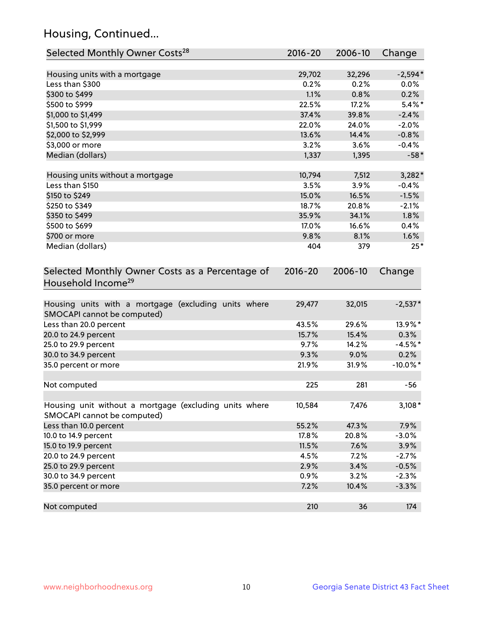## Housing, Continued...

| Selected Monthly Owner Costs <sup>28</sup>                                            | 2016-20     | 2006-10 | Change      |
|---------------------------------------------------------------------------------------|-------------|---------|-------------|
| Housing units with a mortgage                                                         | 29,702      | 32,296  | $-2,594*$   |
| Less than \$300                                                                       | 0.2%        | 0.2%    | 0.0%        |
| \$300 to \$499                                                                        | 1.1%        | 0.8%    | 0.2%        |
| \$500 to \$999                                                                        | 22.5%       | 17.2%   | $5.4\%$ *   |
| \$1,000 to \$1,499                                                                    | 37.4%       | 39.8%   | $-2.4%$     |
| \$1,500 to \$1,999                                                                    | 22.0%       | 24.0%   | $-2.0%$     |
| \$2,000 to \$2,999                                                                    | 13.6%       | 14.4%   | $-0.8%$     |
| \$3,000 or more                                                                       | 3.2%        | 3.6%    | $-0.4%$     |
| Median (dollars)                                                                      | 1,337       | 1,395   | $-58*$      |
| Housing units without a mortgage                                                      | 10,794      | 7,512   | $3,282*$    |
| Less than \$150                                                                       | 3.5%        | 3.9%    | $-0.4%$     |
| \$150 to \$249                                                                        | 15.0%       | 16.5%   | $-1.5%$     |
| \$250 to \$349                                                                        | 18.7%       | 20.8%   | $-2.1%$     |
| \$350 to \$499                                                                        | 35.9%       | 34.1%   | 1.8%        |
| \$500 to \$699                                                                        | 17.0%       | 16.6%   | 0.4%        |
| \$700 or more                                                                         | 9.8%        | 8.1%    | 1.6%        |
| Median (dollars)                                                                      | 404         | 379     | $25*$       |
| Selected Monthly Owner Costs as a Percentage of<br>Household Income <sup>29</sup>     | $2016 - 20$ | 2006-10 | Change      |
| Housing units with a mortgage (excluding units where<br>SMOCAPI cannot be computed)   | 29,477      | 32,015  | $-2,537*$   |
| Less than 20.0 percent                                                                | 43.5%       | 29.6%   | 13.9%*      |
| 20.0 to 24.9 percent                                                                  | 15.7%       | 15.4%   | 0.3%        |
| 25.0 to 29.9 percent                                                                  | 9.7%        | 14.2%   | $-4.5%$ *   |
| 30.0 to 34.9 percent                                                                  | 9.3%        | 9.0%    | 0.2%        |
| 35.0 percent or more                                                                  | 21.9%       | 31.9%   | $-10.0\%$ * |
| Not computed                                                                          | 225         | 281     | $-56$       |
| Housing unit without a mortgage (excluding units where<br>SMOCAPI cannot be computed) | 10,584      | 7,476   | $3,108*$    |
| Less than 10.0 percent                                                                | 55.2%       | 47.3%   | 7.9%        |
| 10.0 to 14.9 percent                                                                  | 17.8%       | 20.8%   | $-3.0%$     |
| 15.0 to 19.9 percent                                                                  | 11.5%       | 7.6%    | 3.9%        |
| 20.0 to 24.9 percent                                                                  | 4.5%        | 7.2%    | $-2.7%$     |
| 25.0 to 29.9 percent                                                                  | 2.9%        | 3.4%    | $-0.5%$     |
| 30.0 to 34.9 percent                                                                  | 0.9%        | 3.2%    | $-2.3%$     |
| 35.0 percent or more                                                                  | 7.2%        | 10.4%   | $-3.3%$     |
| Not computed                                                                          | 210         | 36      | 174         |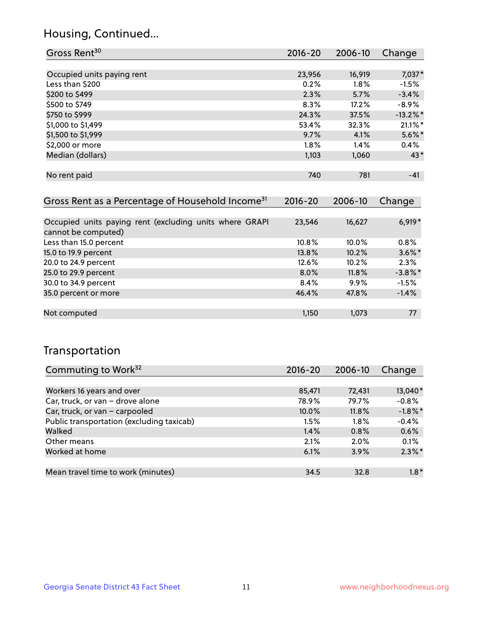## Housing, Continued...

| Gross Rent <sup>30</sup>   | 2016-20 | 2006-10 | Change      |
|----------------------------|---------|---------|-------------|
|                            |         |         |             |
| Occupied units paying rent | 23,956  | 16,919  | 7,037*      |
| Less than \$200            | 0.2%    | 1.8%    | $-1.5%$     |
| \$200 to \$499             | 2.3%    | 5.7%    | $-3.4%$     |
| \$500 to \$749             | 8.3%    | 17.2%   | $-8.9%$     |
| \$750 to \$999             | 24.3%   | 37.5%   | $-13.2\%$ * |
| \$1,000 to \$1,499         | 53.4%   | 32.3%   | $21.1\%$ *  |
| \$1,500 to \$1,999         | 9.7%    | 4.1%    | $5.6\%$ *   |
| \$2,000 or more            | 1.8%    | 1.4%    | 0.4%        |
| Median (dollars)           | 1,103   | 1,060   | 43*         |
|                            |         |         |             |
| No rent paid               | 740     | 781     | $-41$       |
|                            |         |         |             |

| Gross Rent as a Percentage of Household Income <sup>31</sup>                   | $2016 - 20$ | 2006-10 | Change     |
|--------------------------------------------------------------------------------|-------------|---------|------------|
|                                                                                |             |         |            |
| Occupied units paying rent (excluding units where GRAPI<br>cannot be computed) | 23,546      | 16,627  | $6,919*$   |
| Less than 15.0 percent                                                         | 10.8%       | 10.0%   | 0.8%       |
| 15.0 to 19.9 percent                                                           | 13.8%       | 10.2%   | $3.6\%$ *  |
| 20.0 to 24.9 percent                                                           | 12.6%       | 10.2%   | 2.3%       |
| 25.0 to 29.9 percent                                                           | 8.0%        | 11.8%   | $-3.8\%$ * |
| 30.0 to 34.9 percent                                                           | 8.4%        | $9.9\%$ | $-1.5%$    |
| 35.0 percent or more                                                           | 46.4%       | 47.8%   | $-1.4%$    |
|                                                                                |             |         |            |
| Not computed                                                                   | 1,150       | 1,073   | 77         |

## Transportation

| Commuting to Work <sup>32</sup>           | 2016-20 | 2006-10 | Change     |
|-------------------------------------------|---------|---------|------------|
|                                           |         |         |            |
| Workers 16 years and over                 | 85,471  | 72,431  | 13,040*    |
| Car, truck, or van - drove alone          | 78.9%   | 79.7%   | $-0.8%$    |
| Car, truck, or van - carpooled            | 10.0%   | 11.8%   | $-1.8\%$ * |
| Public transportation (excluding taxicab) | 1.5%    | $1.8\%$ | $-0.4%$    |
| Walked                                    | 1.4%    | 0.8%    | 0.6%       |
| Other means                               | 2.1%    | $2.0\%$ | 0.1%       |
| Worked at home                            | 6.1%    | 3.9%    | $2.3\%$ *  |
|                                           |         |         |            |
| Mean travel time to work (minutes)        | 34.5    | 32.8    | $1.8*$     |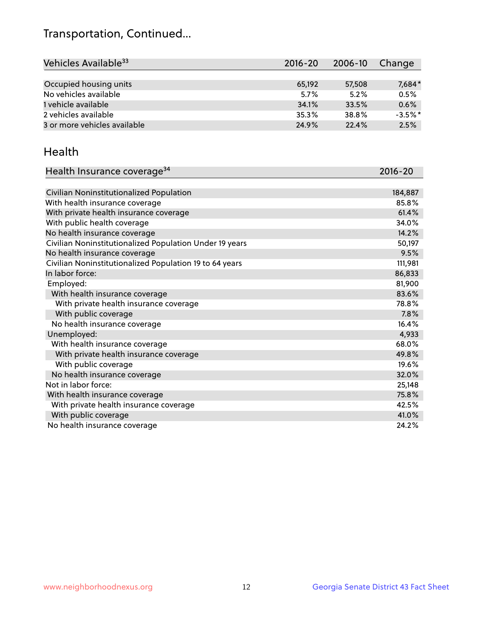## Transportation, Continued...

| Vehicles Available <sup>33</sup> | $2016 - 20$ | $2006 - 10$ | Change    |
|----------------------------------|-------------|-------------|-----------|
|                                  |             |             |           |
| Occupied housing units           | 65,192      | 57,508      | 7,684*    |
| No vehicles available            | 5.7%        | 5.2%        | 0.5%      |
| 1 vehicle available              | 34.1%       | 33.5%       | 0.6%      |
| 2 vehicles available             | 35.3%       | 38.8%       | $-3.5%$ * |
| 3 or more vehicles available     | 24.9%       | 22.4%       | 2.5%      |

#### Health

| Health Insurance coverage <sup>34</sup>                 | 2016-20 |
|---------------------------------------------------------|---------|
|                                                         |         |
| Civilian Noninstitutionalized Population                | 184,887 |
| With health insurance coverage                          | 85.8%   |
| With private health insurance coverage                  | 61.4%   |
| With public health coverage                             | 34.0%   |
| No health insurance coverage                            | 14.2%   |
| Civilian Noninstitutionalized Population Under 19 years | 50,197  |
| No health insurance coverage                            | 9.5%    |
| Civilian Noninstitutionalized Population 19 to 64 years | 111,981 |
| In labor force:                                         | 86,833  |
| Employed:                                               | 81,900  |
| With health insurance coverage                          | 83.6%   |
| With private health insurance coverage                  | 78.8%   |
| With public coverage                                    | 7.8%    |
| No health insurance coverage                            | 16.4%   |
| Unemployed:                                             | 4,933   |
| With health insurance coverage                          | 68.0%   |
| With private health insurance coverage                  | 49.8%   |
| With public coverage                                    | 19.6%   |
| No health insurance coverage                            | 32.0%   |
| Not in labor force:                                     | 25,148  |
| With health insurance coverage                          | 75.8%   |
| With private health insurance coverage                  | 42.5%   |
| With public coverage                                    | 41.0%   |
| No health insurance coverage                            | 24.2%   |